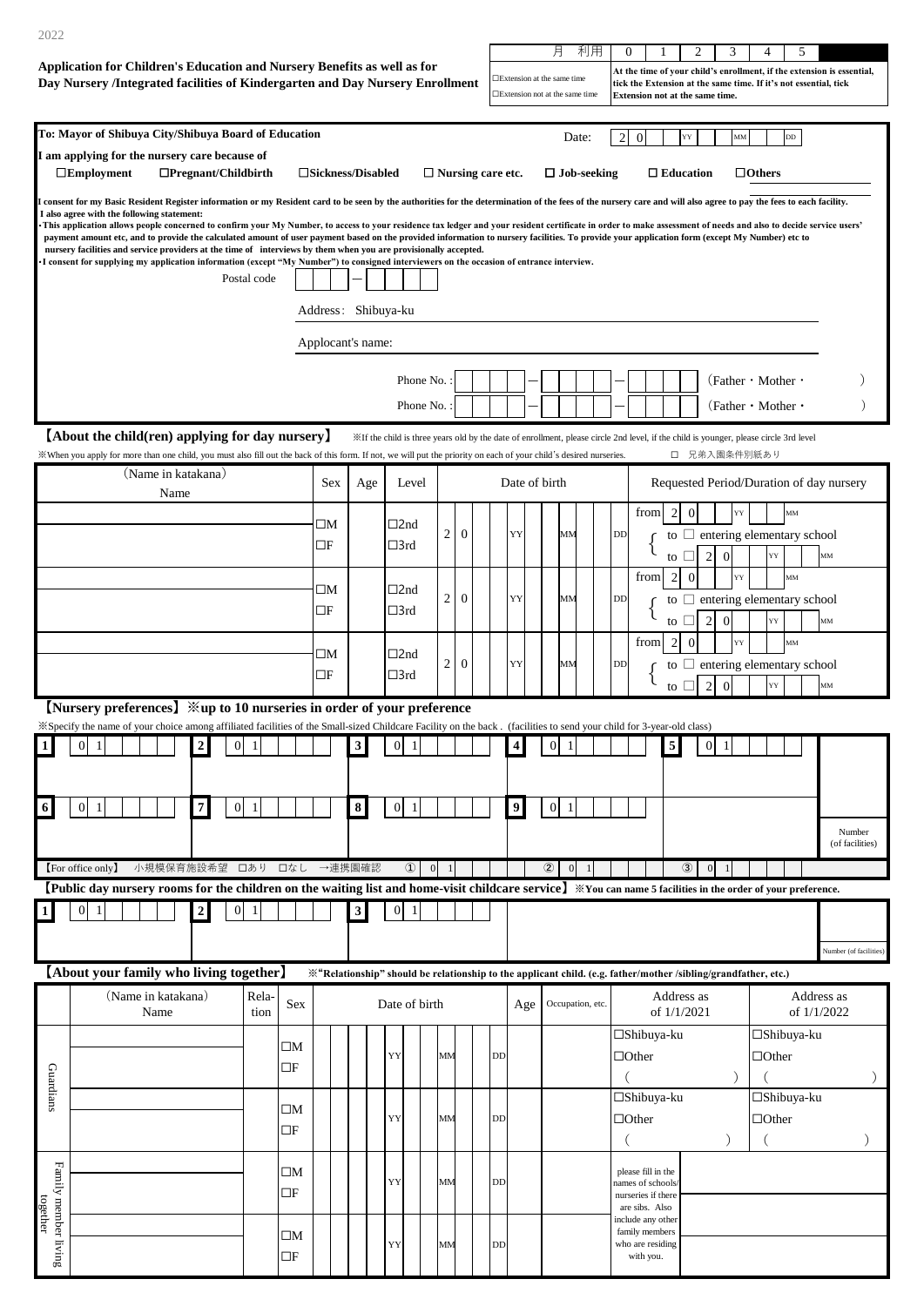| 2022                                                                                                                                                                         |                                                                                                                                                                                                            |                            |               |                                                    |                                                                                                               |                                                                                                                                                                                                                                                                                                                                                                                                                                                                                                                                                                                                                                                                                                                                                                                                                                |                                                                                                                                       |                |                |              |                          |                                                                                                                                                                                                                                                 |               | 月                               | 利用                 |                | $\mathbf{0}$                                                                   |                             | 2              |                | 3                      |               | 4                                                          | 5             |                                          |                           |
|------------------------------------------------------------------------------------------------------------------------------------------------------------------------------|------------------------------------------------------------------------------------------------------------------------------------------------------------------------------------------------------------|----------------------------|---------------|----------------------------------------------------|---------------------------------------------------------------------------------------------------------------|--------------------------------------------------------------------------------------------------------------------------------------------------------------------------------------------------------------------------------------------------------------------------------------------------------------------------------------------------------------------------------------------------------------------------------------------------------------------------------------------------------------------------------------------------------------------------------------------------------------------------------------------------------------------------------------------------------------------------------------------------------------------------------------------------------------------------------|---------------------------------------------------------------------------------------------------------------------------------------|----------------|----------------|--------------|--------------------------|-------------------------------------------------------------------------------------------------------------------------------------------------------------------------------------------------------------------------------------------------|---------------|---------------------------------|--------------------|----------------|--------------------------------------------------------------------------------|-----------------------------|----------------|----------------|------------------------|---------------|------------------------------------------------------------|---------------|------------------------------------------|---------------------------|
|                                                                                                                                                                              | Application for Children's Education and Nursery Benefits as well as for<br>Day Nursery /Integrated facilities of Kindergarten and Day Nursery Enrollment                                                  |                            |               |                                                    |                                                                                                               |                                                                                                                                                                                                                                                                                                                                                                                                                                                                                                                                                                                                                                                                                                                                                                                                                                |                                                                                                                                       |                |                |              |                          | At the time of your child's enrollment, if the extension is essential,<br>□Extension at the same time<br>tick the Extension at the same time. If it's not essential, tick<br>□Extension not at the same time<br>Extension not at the same time. |               |                                 |                    |                |                                                                                |                             |                |                |                        |               |                                                            |               |                                          |                           |
|                                                                                                                                                                              | To: Mayor of Shibuya City/Shibuya Board of Education                                                                                                                                                       |                            |               |                                                    |                                                                                                               |                                                                                                                                                                                                                                                                                                                                                                                                                                                                                                                                                                                                                                                                                                                                                                                                                                |                                                                                                                                       |                |                |              |                          |                                                                                                                                                                                                                                                 |               |                                 | Date:              | $\overline{c}$ | $\boldsymbol{0}$                                                               |                             | YY             |                | MM                     |               |                                                            | $_{\rm DD}$   |                                          |                           |
|                                                                                                                                                                              | I am applying for the nursery care because of<br>$\Box$ Employment                                                                                                                                         | $\Box$ Pregnant/Childbirth |               |                                                    | □Sickness/Disabled                                                                                            |                                                                                                                                                                                                                                                                                                                                                                                                                                                                                                                                                                                                                                                                                                                                                                                                                                |                                                                                                                                       |                |                |              | $\Box$ Nursing care etc. |                                                                                                                                                                                                                                                 |               |                                 | $\Box$ Job-seeking |                |                                                                                | $\Box$ Education            |                |                |                        | $\Box$ Others |                                                            |               |                                          |                           |
| I also agree with the following statement:<br>nursery facilities and service providers at the time of interviews by them when you are provisionally accepted.<br>Postal code |                                                                                                                                                                                                            |                            |               |                                                    |                                                                                                               | I consent for my Basic Resident Register information or my Resident card to be seen by the authorities for the determination of the fees of the nursery care and will also agree to pay the fees to each facility.<br>This application allows people concerned to confirm your My Number, to access to your residence tax ledger and your resident certificate in order to make assessment of needs and also to decide service users'<br>payment amount etc, and to provide the calculated amount of user payment based on the provided information to nursery facilities. To provide your application form (except My Number) etc to<br>•I consent for supplying my application information (except "My Number") to consigned interviewers on the occasion of entrance interview.<br>Address: Shibuya-ku<br>Applocant's name: |                                                                                                                                       |                |                |              |                          |                                                                                                                                                                                                                                                 |               |                                 |                    |                |                                                                                |                             |                |                |                        |               |                                                            |               |                                          |                           |
|                                                                                                                                                                              |                                                                                                                                                                                                            |                            |               |                                                    |                                                                                                               |                                                                                                                                                                                                                                                                                                                                                                                                                                                                                                                                                                                                                                                                                                                                                                                                                                |                                                                                                                                       | Phone No.      |                |              |                          |                                                                                                                                                                                                                                                 |               |                                 |                    |                |                                                                                |                             |                |                |                        |               | (Father $\cdot$ Mother $\cdot$                             |               |                                          |                           |
|                                                                                                                                                                              |                                                                                                                                                                                                            |                            |               |                                                    |                                                                                                               |                                                                                                                                                                                                                                                                                                                                                                                                                                                                                                                                                                                                                                                                                                                                                                                                                                |                                                                                                                                       | Phone No.      |                |              |                          |                                                                                                                                                                                                                                                 |               |                                 |                    |                |                                                                                |                             |                |                |                        |               | (Father $\cdot$ Mother $\cdot$                             |               |                                          |                           |
|                                                                                                                                                                              | [About the child(ren) applying for day nursery]                                                                                                                                                            |                            |               |                                                    |                                                                                                               |                                                                                                                                                                                                                                                                                                                                                                                                                                                                                                                                                                                                                                                                                                                                                                                                                                | XIf the child is three years old by the date of enrollment, please circle 2nd level, if the child is younger, please circle 3rd level |                |                |              |                          |                                                                                                                                                                                                                                                 |               |                                 |                    |                |                                                                                |                             |                |                |                        |               |                                                            |               |                                          |                           |
|                                                                                                                                                                              | When you apply for more than one child, you must also fill out the back of this form. If not, we will put the priority on each of your child's desired nurseries.<br>(Name in katakana)                    |                            |               |                                                    | <b>Sex</b>                                                                                                    |                                                                                                                                                                                                                                                                                                                                                                                                                                                                                                                                                                                                                                                                                                                                                                                                                                | Level                                                                                                                                 |                |                |              |                          |                                                                                                                                                                                                                                                 | Date of birth |                                 |                    |                |                                                                                |                             |                |                | □ 兄弟入園条件別紙あり           |               |                                                            |               | Requested Period/Duration of day nursery |                           |
|                                                                                                                                                                              | Name                                                                                                                                                                                                       |                            |               |                                                    |                                                                                                               | Age                                                                                                                                                                                                                                                                                                                                                                                                                                                                                                                                                                                                                                                                                                                                                                                                                            |                                                                                                                                       |                |                |              |                          |                                                                                                                                                                                                                                                 |               |                                 |                    |                | from                                                                           | 2                           | $\overline{0}$ |                | YY                     |               |                                                            | $\text{MM}{}$ |                                          |                           |
|                                                                                                                                                                              |                                                                                                                                                                                                            |                            |               |                                                    | $\square\mathrm{M}$<br>□F                                                                                     |                                                                                                                                                                                                                                                                                                                                                                                                                                                                                                                                                                                                                                                                                                                                                                                                                                | $\Box$ 2nd<br>□3rd                                                                                                                    |                | 2              | $\mathbf{0}$ |                          | YY                                                                                                                                                                                                                                              |               | MN                              |                    | DD             |                                                                                | to                          |                | 2              | $\boldsymbol{0}$       |               | to $\Box$ entering elementary school<br>YY                 |               | MM                                       |                           |
|                                                                                                                                                                              |                                                                                                                                                                                                            |                            |               |                                                    | $\square\mathrm{M}$<br>$\Box$ F                                                                               |                                                                                                                                                                                                                                                                                                                                                                                                                                                                                                                                                                                                                                                                                                                                                                                                                                | $\square$ 2nd<br>□3rd                                                                                                                 |                | $\overline{2}$ | $\mathbf{0}$ |                          | YY                                                                                                                                                                                                                                              |               | MM                              |                    | <b>DD</b>      | from                                                                           | 2<br>to<br>to               | $\overline{0}$ | $\overline{2}$ | YY<br>$\boldsymbol{0}$ |               | $\Box$ entering elementary school<br>YY                    | MM            | MM                                       |                           |
|                                                                                                                                                                              |                                                                                                                                                                                                            |                            |               |                                                    | $\square\mathrm{M}$<br>□F                                                                                     |                                                                                                                                                                                                                                                                                                                                                                                                                                                                                                                                                                                                                                                                                                                                                                                                                                | $\square$ 2nd<br>□3rd                                                                                                                 |                | $\overline{2}$ | $\mathbf{0}$ |                          | YY                                                                                                                                                                                                                                              |               | MM                              |                    | <b>DD</b>      | from                                                                           | $\overline{2}$<br>to        | $\mathbf{0}$   | $\overline{2}$ | YY<br>$\Omega$         |               | to $\Box$ entering elementary school<br>YY                 | MM            | MM                                       |                           |
|                                                                                                                                                                              | [Nursery preferences] $\mathcal{K}$ up to 10 nurseries in order of your preference                                                                                                                         |                            |               |                                                    |                                                                                                               |                                                                                                                                                                                                                                                                                                                                                                                                                                                                                                                                                                                                                                                                                                                                                                                                                                |                                                                                                                                       |                |                |              |                          |                                                                                                                                                                                                                                                 |               |                                 |                    |                |                                                                                |                             |                |                |                        |               |                                                            |               |                                          |                           |
|                                                                                                                                                                              | *Specify the name of your choice among affiliated facilities of the Small-sized Childcare Facility on the back. (facilities to send your child for 3-year-old class)<br>$\Omega$<br>$\boldsymbol{2}$<br>-1 | $\Omega$                   | $\mathbf{1}$  |                                                    |                                                                                                               | $\overline{\mathbf{3}}$                                                                                                                                                                                                                                                                                                                                                                                                                                                                                                                                                                                                                                                                                                                                                                                                        | $\Omega$<br>$\mathbf{1}$                                                                                                              |                |                |              |                          | 4                                                                                                                                                                                                                                               |               | $\Omega$                        |                    |                |                                                                                | 5                           |                | $\Omega$       |                        |               |                                                            |               |                                          |                           |
| 6                                                                                                                                                                            | $7\vert$<br>$\overline{0}$<br>-1                                                                                                                                                                           | $\overline{0}$             | -1            |                                                    |                                                                                                               | 8 <sup>1</sup>                                                                                                                                                                                                                                                                                                                                                                                                                                                                                                                                                                                                                                                                                                                                                                                                                 | $\overline{0}$<br>-1                                                                                                                  |                |                |              |                          | 9                                                                                                                                                                                                                                               |               | $\mathbf{0}$<br>1               |                    |                |                                                                                |                             |                |                |                        |               |                                                            |               |                                          | Number<br>(of facilities) |
|                                                                                                                                                                              | 小規模保育施設希望<br>[For office only]                                                                                                                                                                             |                            | 口あり           | 口なし                                                |                                                                                                               | →連携園確認                                                                                                                                                                                                                                                                                                                                                                                                                                                                                                                                                                                                                                                                                                                                                                                                                         | $\Omega$                                                                                                                              | $\overline{0}$ | $\overline{1}$ |              |                          |                                                                                                                                                                                                                                                 |               | $\circled{2}$<br>$\overline{0}$ |                    |                |                                                                                |                             | $\circled{3}$  | $\mathbf{0}$   |                        |               |                                                            |               |                                          |                           |
|                                                                                                                                                                              | [Public day nursery rooms for the children on the waiting list and home-visit childcare service] *You can name 5 facilities in the order of your preference.                                               |                            |               |                                                    |                                                                                                               |                                                                                                                                                                                                                                                                                                                                                                                                                                                                                                                                                                                                                                                                                                                                                                                                                                |                                                                                                                                       |                |                |              |                          |                                                                                                                                                                                                                                                 |               |                                 |                    |                |                                                                                |                             |                |                |                        |               |                                                            |               |                                          |                           |
|                                                                                                                                                                              | $\overline{0}$<br>$\mathbf{1}$<br>$\boldsymbol{2}$                                                                                                                                                         | $\boldsymbol{0}$           | 1             |                                                    |                                                                                                               | $\mathbf{3}$                                                                                                                                                                                                                                                                                                                                                                                                                                                                                                                                                                                                                                                                                                                                                                                                                   | $\overline{0}$<br>$\mathbf{1}$                                                                                                        |                |                |              |                          |                                                                                                                                                                                                                                                 |               |                                 |                    |                |                                                                                |                             |                |                |                        |               |                                                            |               |                                          | Number (of facilities)    |
|                                                                                                                                                                              | [About your family who living together]                                                                                                                                                                    |                            |               |                                                    | "Relationship" should be relationship to the applicant child. (e.g. father/mother /sibling/grandfather, etc.) |                                                                                                                                                                                                                                                                                                                                                                                                                                                                                                                                                                                                                                                                                                                                                                                                                                |                                                                                                                                       |                |                |              |                          |                                                                                                                                                                                                                                                 |               |                                 |                    |                |                                                                                |                             |                |                |                        |               |                                                            |               |                                          |                           |
|                                                                                                                                                                              | (Name in katakana)<br>Name                                                                                                                                                                                 |                            | Rela-<br>tion | Sex                                                |                                                                                                               |                                                                                                                                                                                                                                                                                                                                                                                                                                                                                                                                                                                                                                                                                                                                                                                                                                | Date of birth                                                                                                                         |                |                |              |                          |                                                                                                                                                                                                                                                 | Age           |                                 | Occupation, etc.   |                |                                                                                | Address as<br>of $1/1/2021$ |                |                |                        |               |                                                            |               | Address as<br>of $1/1/2022$              |                           |
| Guardians                                                                                                                                                                    |                                                                                                                                                                                                            |                            |               | $\square M$<br>$\Box F$<br>$\square M$<br>$\Box F$ |                                                                                                               |                                                                                                                                                                                                                                                                                                                                                                                                                                                                                                                                                                                                                                                                                                                                                                                                                                | YY<br>YY                                                                                                                              |                | MМ<br>MM       |              | DD<br>DD                 |                                                                                                                                                                                                                                                 |               |                                 |                    |                | □Shibuya-ku<br>$\Box$ Other<br>□Shibuya-ku<br>$\Box$ Other                     |                             |                |                |                        |               | □Shibuya-ku<br>$\Box$ Other<br>□Shibuya-ku<br>$\Box$ Other |               |                                          | $\mathcal{C}$             |
| together                                                                                                                                                                     |                                                                                                                                                                                                            |                            |               | $\square M$<br>$\Box F$                            |                                                                                                               |                                                                                                                                                                                                                                                                                                                                                                                                                                                                                                                                                                                                                                                                                                                                                                                                                                | YY                                                                                                                                    |                | MM             |              | DD                       |                                                                                                                                                                                                                                                 |               |                                 |                    |                | please fill in the<br>names of schools<br>nurseries if there<br>are sibs. Also |                             |                |                |                        |               |                                                            |               |                                          |                           |
| Family member living                                                                                                                                                         |                                                                                                                                                                                                            |                            |               | $\square M$<br>$\Box F$                            |                                                                                                               |                                                                                                                                                                                                                                                                                                                                                                                                                                                                                                                                                                                                                                                                                                                                                                                                                                | YY                                                                                                                                    |                | MM             |              | DD                       |                                                                                                                                                                                                                                                 |               |                                 |                    |                | include any other<br>family members<br>who are residing<br>with you.           |                             |                |                |                        |               |                                                            |               |                                          |                           |